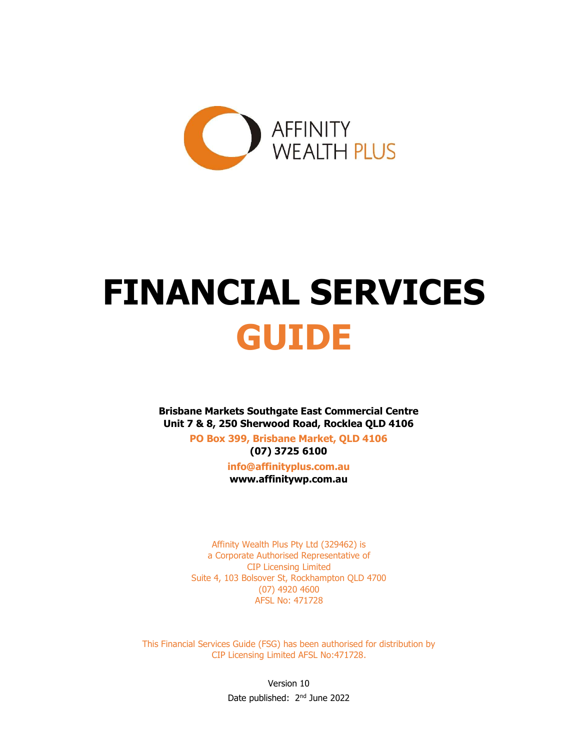

# FINANCIAL SERVICES GUIDE

Brisbane Markets Southgate East Commercial Centre Unit 7 & 8, 250 Sherwood Road, Rocklea QLD 4106

> PO Box 399, Brisbane Market, QLD 4106 (07) 3725 6100

> > info@affinityplus.com.au www.affinitywp.com.au

Affinity Wealth Plus Pty Ltd (329462) is a Corporate Authorised Representative of CIP Licensing Limited Suite 4, 103 Bolsover St, Rockhampton QLD 4700 (07) 4920 4600 AFSL No: 471728

This Financial Services Guide (FSG) has been authorised for distribution by CIP Licensing Limited AFSL No:471728.

> Version 10 Date published: 2<sup>nd</sup> June 2022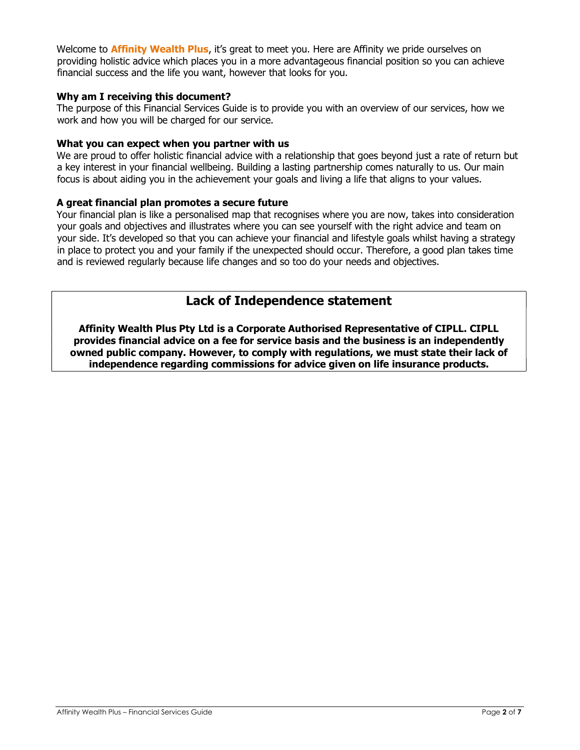Welcome to **Affinity Wealth Plus**, it's great to meet you. Here are Affinity we pride ourselves on providing holistic advice which places you in a more advantageous financial position so you can achieve financial success and the life you want, however that looks for you.

## Why am I receiving this document?

The purpose of this Financial Services Guide is to provide you with an overview of our services, how we work and how you will be charged for our service.

## What you can expect when you partner with us

We are proud to offer holistic financial advice with a relationship that goes beyond just a rate of return but a key interest in your financial wellbeing. Building a lasting partnership comes naturally to us. Our main focus is about aiding you in the achievement your goals and living a life that aligns to your values.

## A great financial plan promotes a secure future

Your financial plan is like a personalised map that recognises where you are now, takes into consideration your goals and objectives and illustrates where you can see yourself with the right advice and team on your side. It's developed so that you can achieve your financial and lifestyle goals whilst having a strategy in place to protect you and your family if the unexpected should occur. Therefore, a good plan takes time and is reviewed regularly because life changes and so too do your needs and objectives.

## Lack of Independence statement

Affinity Wealth Plus Pty Ltd is a Corporate Authorised Representative of CIPLL. CIPLL provides financial advice on a fee for service basis and the business is an independently owned public company. However, to comply with regulations, we must state their lack of independence regarding commissions for advice given on life insurance products.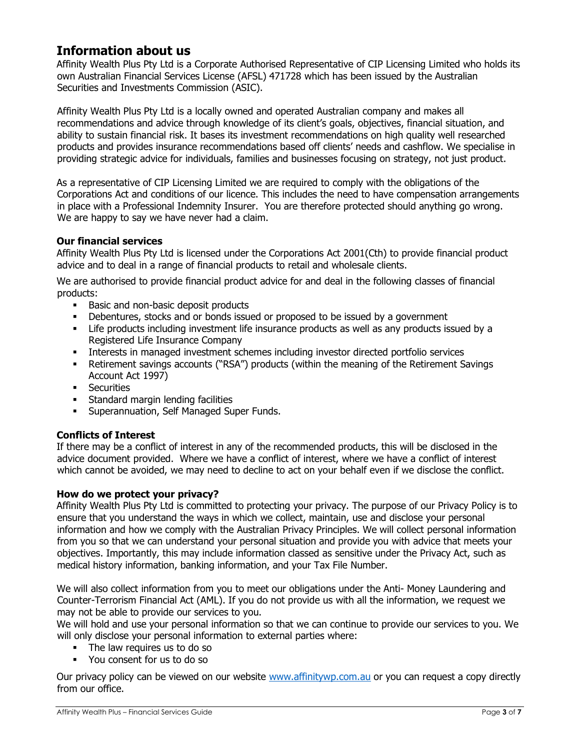# Information about us

Affinity Wealth Plus Pty Ltd is a Corporate Authorised Representative of CIP Licensing Limited who holds its own Australian Financial Services License (AFSL) 471728 which has been issued by the Australian Securities and Investments Commission (ASIC).

Affinity Wealth Plus Pty Ltd is a locally owned and operated Australian company and makes all recommendations and advice through knowledge of its client's goals, objectives, financial situation, and ability to sustain financial risk. It bases its investment recommendations on high quality well researched products and provides insurance recommendations based off clients' needs and cashflow. We specialise in providing strategic advice for individuals, families and businesses focusing on strategy, not just product.

As a representative of CIP Licensing Limited we are required to comply with the obligations of the Corporations Act and conditions of our licence. This includes the need to have compensation arrangements in place with a Professional Indemnity Insurer. You are therefore protected should anything go wrong. We are happy to say we have never had a claim.

## Our financial services

Affinity Wealth Plus Pty Ltd is licensed under the Corporations Act 2001(Cth) to provide financial product advice and to deal in a range of financial products to retail and wholesale clients.

We are authorised to provide financial product advice for and deal in the following classes of financial products:

- Basic and non-basic deposit products
- Debentures, stocks and or bonds issued or proposed to be issued by a government
- Life products including investment life insurance products as well as any products issued by a Registered Life Insurance Company
- Interests in managed investment schemes including investor directed portfolio services
- Retirement savings accounts ("RSA") products (within the meaning of the Retirement Savings Account Act 1997)
- **Securities**
- **Standard margin lending facilities**
- **EXECUTE: Superannuation, Self Managed Super Funds.**

## Conflicts of Interest

If there may be a conflict of interest in any of the recommended products, this will be disclosed in the advice document provided. Where we have a conflict of interest, where we have a conflict of interest which cannot be avoided, we may need to decline to act on your behalf even if we disclose the conflict.

## How do we protect your privacy?

Affinity Wealth Plus Pty Ltd is committed to protecting your privacy. The purpose of our Privacy Policy is to ensure that you understand the ways in which we collect, maintain, use and disclose your personal information and how we comply with the Australian Privacy Principles. We will collect personal information from you so that we can understand your personal situation and provide you with advice that meets your objectives. Importantly, this may include information classed as sensitive under the Privacy Act, such as medical history information, banking information, and your Tax File Number.

We will also collect information from you to meet our obligations under the Anti- Money Laundering and Counter-Terrorism Financial Act (AML). If you do not provide us with all the information, we request we may not be able to provide our services to you.

We will hold and use your personal information so that we can continue to provide our services to you. We will only disclose your personal information to external parties where:

- The law requires us to do so
- You consent for us to do so

Our privacy policy can be viewed on our website www.affinitywp.com.au or you can request a copy directly from our office.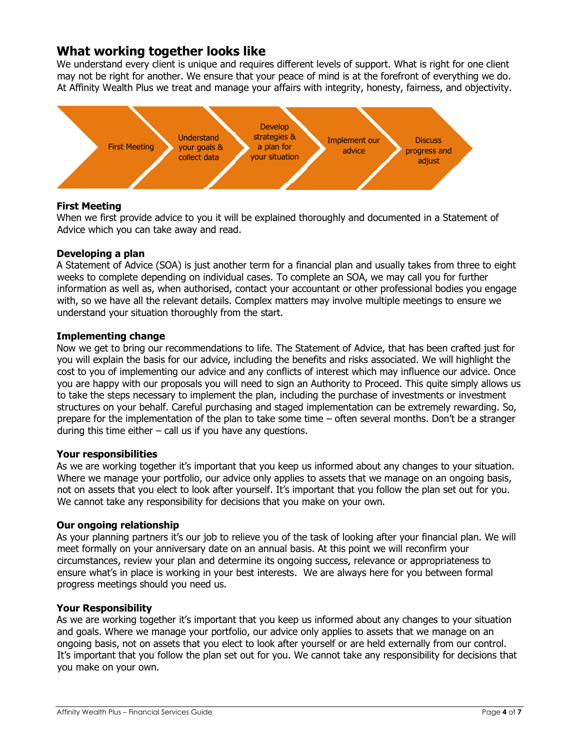# What working together looks like

We understand every client is unique and requires different levels of support. What is right for one client may not be right for another. We ensure that your peace of mind is at the forefront of everything we do. At Affinity Wealth Plus we treat and manage your affairs with integrity, honesty, fairness, and objectivity.



## First Meeting

When we first provide advice to you it will be explained thoroughly and documented in a Statement of Advice which you can take away and read.

## Developing a plan

A Statement of Advice (SOA) is just another term for a financial plan and usually takes from three to eight weeks to complete depending on individual cases. To complete an SOA, we may call you for further information as well as, when authorised, contact your accountant or other professional bodies you engage with, so we have all the relevant details. Complex matters may involve multiple meetings to ensure we understand your situation thoroughly from the start.

## Implementing change

Now we get to bring our recommendations to life. The Statement of Advice, that has been crafted just for you will explain the basis for our advice, including the benefits and risks associated. We will highlight the cost to you of implementing our advice and any conflicts of interest which may influence our advice. Once you are happy with our proposals you will need to sign an Authority to Proceed. This quite simply allows us to take the steps necessary to implement the plan, including the purchase of investments or investment structures on your behalf. Careful purchasing and staged implementation can be extremely rewarding. So, prepare for the implementation of the plan to take some time – often several months. Don't be a stranger during this time either  $-$  call us if you have any questions.

## Your responsibilities

As we are working together it's important that you keep us informed about any changes to your situation. Where we manage your portfolio, our advice only applies to assets that we manage on an ongoing basis, not on assets that you elect to look after yourself. It's important that you follow the plan set out for you. We cannot take any responsibility for decisions that you make on your own.

## Our ongoing relationship

As your planning partners it's our job to relieve you of the task of looking after your financial plan. We will meet formally on your anniversary date on an annual basis. At this point we will reconfirm your circumstances, review your plan and determine its ongoing success, relevance or appropriateness to ensure what's in place is working in your best interests. We are always here for you between formal progress meetings should you need us.

## Your Responsibility

As we are working together it's important that you keep us informed about any changes to your situation and goals. Where we manage your portfolio, our advice only applies to assets that we manage on an ongoing basis, not on assets that you elect to look after yourself or are held externally from our control. It's important that you follow the plan set out for you. We cannot take any responsibility for decisions that you make on your own.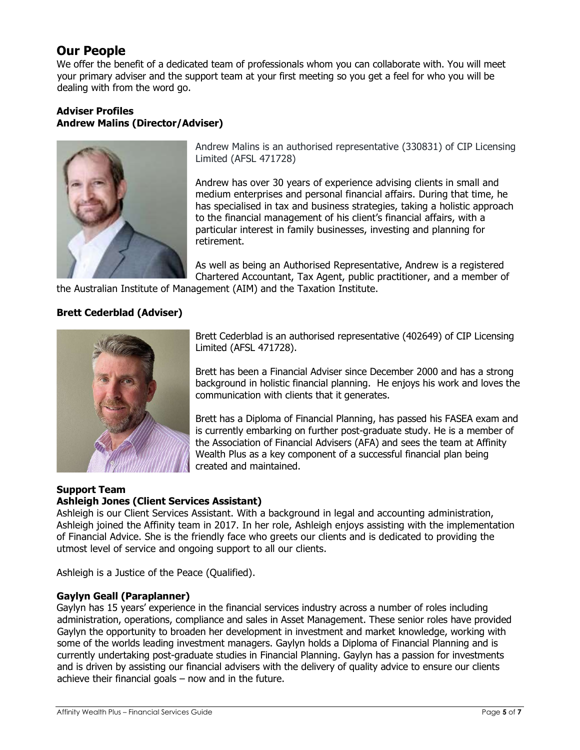# Our People

We offer the benefit of a dedicated team of professionals whom you can collaborate with. You will meet your primary adviser and the support team at your first meeting so you get a feel for who you will be dealing with from the word go.

## Adviser Profiles Andrew Malins (Director/Adviser)



Andrew Malins is an authorised representative (330831) of CIP Licensing Limited (AFSL 471728)

Andrew has over 30 years of experience advising clients in small and medium enterprises and personal financial affairs. During that time, he has specialised in tax and business strategies, taking a holistic approach to the financial management of his client's financial affairs, with a particular interest in family businesses, investing and planning for retirement.

As well as being an Authorised Representative, Andrew is a registered Chartered Accountant, Tax Agent, public practitioner, and a member of

the Australian Institute of Management (AIM) and the Taxation Institute.

## Brett Cederblad (Adviser)



Brett Cederblad is an authorised representative (402649) of CIP Licensing Limited (AFSL 471728).

Brett has been a Financial Adviser since December 2000 and has a strong background in holistic financial planning. He enjoys his work and loves the communication with clients that it generates.

Brett has a Diploma of Financial Planning, has passed his FASEA exam and is currently embarking on further post-graduate study. He is a member of the Association of Financial Advisers (AFA) and sees the team at Affinity Wealth Plus as a key component of a successful financial plan being created and maintained.

#### Support Team Ashleigh Jones (Client Services Assistant)

Ashleigh is our Client Services Assistant. With a background in legal and accounting administration, Ashleigh joined the Affinity team in 2017. In her role, Ashleigh enjoys assisting with the implementation of Financial Advice. She is the friendly face who greets our clients and is dedicated to providing the utmost level of service and ongoing support to all our clients.

Ashleigh is a Justice of the Peace (Qualified).

## Gaylyn Geall (Paraplanner)

Gaylyn has 15 years' experience in the financial services industry across a number of roles including administration, operations, compliance and sales in Asset Management. These senior roles have provided Gaylyn the opportunity to broaden her development in investment and market knowledge, working with some of the worlds leading investment managers. Gaylyn holds a Diploma of Financial Planning and is currently undertaking post-graduate studies in Financial Planning. Gaylyn has a passion for investments and is driven by assisting our financial advisers with the delivery of quality advice to ensure our clients achieve their financial goals – now and in the future.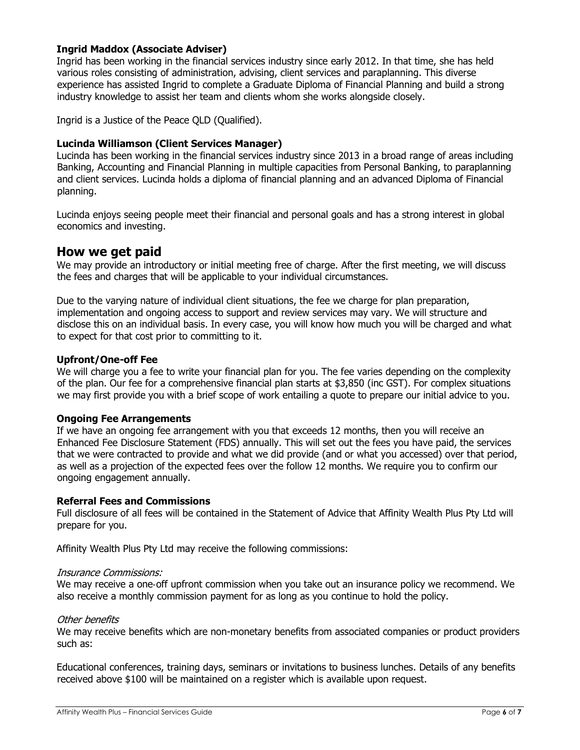## Ingrid Maddox (Associate Adviser)

Ingrid has been working in the financial services industry since early 2012. In that time, she has held various roles consisting of administration, advising, client services and paraplanning. This diverse experience has assisted Ingrid to complete a Graduate Diploma of Financial Planning and build a strong industry knowledge to assist her team and clients whom she works alongside closely.

Ingrid is a Justice of the Peace QLD (Qualified).

## Lucinda Williamson (Client Services Manager)

Lucinda has been working in the financial services industry since 2013 in a broad range of areas including Banking, Accounting and Financial Planning in multiple capacities from Personal Banking, to paraplanning and client services. Lucinda holds a diploma of financial planning and an advanced Diploma of Financial planning.

Lucinda enjoys seeing people meet their financial and personal goals and has a strong interest in global economics and investing.

## How we get paid

We may provide an introductory or initial meeting free of charge. After the first meeting, we will discuss the fees and charges that will be applicable to your individual circumstances.

Due to the varying nature of individual client situations, the fee we charge for plan preparation, implementation and ongoing access to support and review services may vary. We will structure and disclose this on an individual basis. In every case, you will know how much you will be charged and what to expect for that cost prior to committing to it.

## Upfront/One-off Fee

We will charge you a fee to write your financial plan for you. The fee varies depending on the complexity of the plan. Our fee for a comprehensive financial plan starts at \$3,850 (inc GST). For complex situations we may first provide you with a brief scope of work entailing a quote to prepare our initial advice to you.

## Ongoing Fee Arrangements

If we have an ongoing fee arrangement with you that exceeds 12 months, then you will receive an Enhanced Fee Disclosure Statement (FDS) annually. This will set out the fees you have paid, the services that we were contracted to provide and what we did provide (and or what you accessed) over that period, as well as a projection of the expected fees over the follow 12 months. We require you to confirm our ongoing engagement annually.

## Referral Fees and Commissions

Full disclosure of all fees will be contained in the Statement of Advice that Affinity Wealth Plus Pty Ltd will prepare for you.

Affinity Wealth Plus Pty Ltd may receive the following commissions:

## Insurance Commissions:

We may receive a one-off upfront commission when you take out an insurance policy we recommend. We also receive a monthly commission payment for as long as you continue to hold the policy.

## Other benefits

We may receive benefits which are non-monetary benefits from associated companies or product providers such as:

Educational conferences, training days, seminars or invitations to business lunches. Details of any benefits received above \$100 will be maintained on a register which is available upon request.